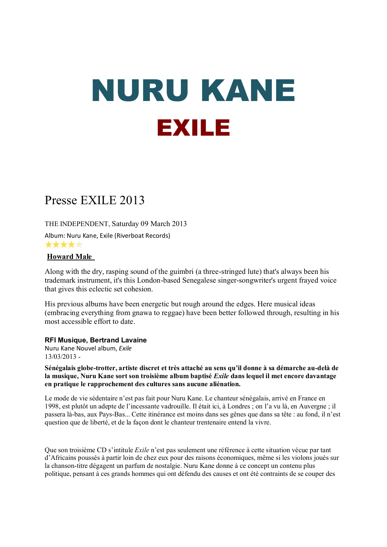# NURU KANE EXILE

# Presse EXILE 2013

THE INDEPENDENT, Saturday 09 March 2013

Album: Nuru Kane, Exile (Riverboat Records) \*\*\*\*\*

# **Howard Male**

Along with the dry, rasping sound of the guimbri (a three-stringed lute) that's always been his trademark instrument, it's this London-based Senegalese singer-songwriter's urgent frayed voice that gives this eclectic set cohesion.

His previous albums have been energetic but rough around the edges. Here musical ideas (embracing everything from gnawa to reggae) have been better followed through, resulting in his most accessible effort to date.

# **RFI Musique, Bertrand Lavaine**

Nuru Kane Nouvel album, *Exile* 13/03/2013 -

**Sénégalais globe-trotter, artiste discret et très attaché au sens qu'il donne à sa démarche au-delà de la musique, Nuru Kane sort son troisième album baptisé** *Exile* **dans lequel il met encore davantage en pratique le rapprochement des cultures sans aucune aliénation.**

Le mode de vie sédentaire n'est pas fait pour Nuru Kane. Le chanteur sénégalais, arrivé en France en 1998, est plutôt un adepte de l'incessante vadrouille. Il était ici, à Londres ; on l'a vu là, en Auvergne ; il passera là-bas, aux Pays-Bas... Cette itinérance est moins dans ses gênes que dans sa tête : au fond, il n'est question que de liberté, et de la façon dont le chanteur trentenaire entend la vivre.

Que son troisième CD s'intitule *Exile* n'est pas seulement une référence à cette situation vécue par tant d'Africains poussés à partir loin de chez eux pour des raisons économiques, même si les violons joués sur la chanson-titre dégagent un parfum de nostalgie. Nuru Kane donne à ce concept un contenu plus politique, pensant à ces grands hommes qui ont défendu des causes et ont été contraints de se couper des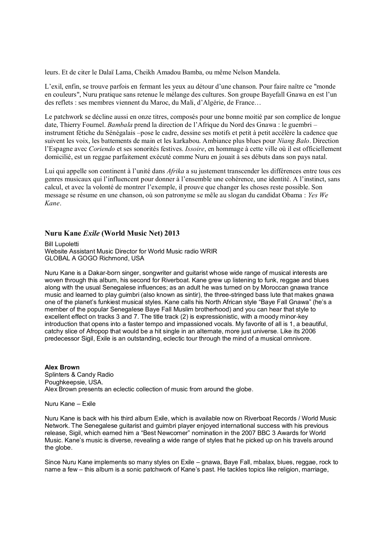leurs. Et de citer le Dalaï Lama, Cheikh Amadou Bamba, ou même Nelson Mandela.

L'exil, enfin, se trouve parfois en fermant les yeux au détour d'une chanson. Pour faire naître ce "monde en couleurs", Nuru pratique sans retenue le mélange des cultures. Son groupe Bayefall Gnawa en est l'un des reflets : ses membres viennent du Maroc, du Mali, d'Algérie, de France…

Le patchwork se décline aussi en onze titres, composés pour une bonne moitié par son complice de longue date, Thierry Fournel. *Bambala* prend la direction de l'Afrique du Nord des Gnawa : le guembri – instrument fétiche du Sénégalais –pose le cadre, dessine ses motifs et petit à petit accélère la cadence que suivent les voix, les battements de main et les karkabou. Ambiance plus blues pour *Niang Balo*. Direction l'Espagne avec *Coriendo* et ses sonorités festives. *Issoire*, en hommage à cette ville où il est officiellement domicilié, est un reggae parfaitement exécuté comme Nuru en jouait à ses débuts dans son pays natal.

Lui qui appelle son continent à l'unité dans *Afrika* a su justement transcender les différences entre tous ces genres musicaux qui l'influencent pour donner à l'ensemble une cohérence, une identité. A l'instinct, sans calcul, et avec la volonté de montrer l'exemple, il prouve que changer les choses reste possible. Son message se résume en une chanson, où son patronyme se mêle au slogan du candidat Obama : *Yes We Kane*.

#### **Nuru Kane** *Exile* **(World Music Net) 2013**

Bill Lupoletti Website Assistant Music Director for World Music radio WRIR GLOBAL A GOGO Richmond, USA

Nuru Kane is a Dakar-born singer, songwriter and guitarist whose wide range of musical interests are woven through this album, his second for Riverboat. Kane grew up listening to funk, reggae and blues along with the usual Senegalese influences; as an adult he was turned on by Moroccan gnawa trance music and learned to play guimbri (also known as sintir), the three-stringed bass lute that makes gnawa one of the planet's funkiest musical styles. Kane calls his North African style "Baye Fall Gnawa" (he's a member of the popular Senegalese Baye Fall Muslim brotherhood) and you can hear that style to excellent effect on tracks 3 and 7. The title track (2) is expressionistic, with a moody minor-key introduction that opens into a faster tempo and impassioned vocals. My favorite of all is 1, a beautiful, catchy slice of Afropop that would be a hit single in an alternate, more just universe. Like its 2006 predecessor Sigil, Exile is an outstanding, eclectic tour through the mind of a musical omnivore.

#### **Alex Brown** Splinters & Candy Radio Poughkeepsie, USA. Alex Brown presents an eclectic collection of music from around the globe.

Nuru Kane – Exile

Nuru Kane is back with his third album Exile, which is available now on Riverboat Records / World Music Network. The Senegalese guitarist and guimbri player enjoyed international success with his previous release, Sigil, which earned him a "Best Newcomer" nomination in the 2007 BBC 3 Awards for World Music. Kane's music is diverse, revealing a wide range of styles that he picked up on his travels around the globe.

Since Nuru Kane implements so many styles on Exile – gnawa, Baye Fall, mbalax, blues, reggae, rock to name a few – this album is a sonic patchwork of Kane's past. He tackles topics like religion, marriage,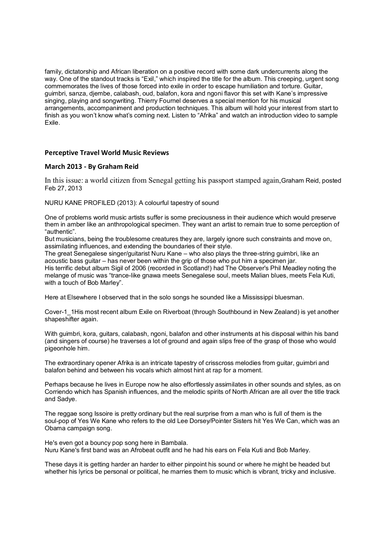family, dictatorship and African liberation on a positive record with some dark undercurrents along the way. One of the standout tracks is "Exil," which inspired the title for the album. This creeping, urgent song commemorates the lives of those forced into exile in order to escape humiliation and torture. Guitar, guimbri, sanza, djembe, calabash, oud, balafon, kora and ngoni flavor this set with Kane's impressive singing, playing and songwriting. Thierry Fournel deserves a special mention for his musical arrangements, accompaniment and production techniques. This album will hold your interest from start to finish as you won't know what's coming next. Listen to "Afrika" and watch an introduction video to sample Exile.

#### **Perceptive Travel World Music Reviews**

#### **March 2013 - By Graham Reid**

In this issue: a world citizen from Senegal getting his passport stamped again,Graham Reid, posted Feb 27, 2013

NURU KANE PROFILED (2013): A colourful tapestry of sound

One of problems world music artists suffer is some preciousness in their audience which would preserve them in amber like an anthropological specimen. They want an artist to remain true to some perception of "authentic".

But musicians, being the troublesome creatures they are, largely ignore such constraints and move on, assimilating influences, and extending the boundaries of their style.

The great Senegalese singer/guitarist Nuru Kane – who also plays the three-string guimbri, like an acoustic bass guitar – has never been within the grip of those who put him a specimen jar.

His terrific debut album Sigil of 2006 (recorded in Scotland!) had The Observer's Phil Meadley noting the melange of music was "trance-like gnawa meets Senegalese soul, meets Malian blues, meets Fela Kuti, with a touch of Bob Marley".

Here at Elsewhere I observed that in the solo songs he sounded like a Mississippi bluesman.

Cover-1\_1His most recent album Exile on Riverboat (through Southbound in New Zealand) is yet another shapeshifter again.

With guimbri, kora, guitars, calabash, ngoni, balafon and other instruments at his disposal within his band (and singers of course) he traverses a lot of ground and again slips free of the grasp of those who would pigeonhole him.

The extraordinary opener Afrika is an intricate tapestry of crisscross melodies from guitar, guimbri and balafon behind and between his vocals which almost hint at rap for a moment.

Perhaps because he lives in Europe now he also effortlessly assimilates in other sounds and styles, as on Corriendo which has Spanish influences, and the melodic spirits of North African are all over the title track and Sadye.

The reggae song Issoire is pretty ordinary but the real surprise from a man who is full of them is the soul-pop of Yes We Kane who refers to the old Lee Dorsey/Pointer Sisters hit Yes We Can, which was an Obama campaign song.

He's even got a bouncy pop song here in Bambala. Nuru Kane's first band was an Afrobeat outfit and he had his ears on Fela Kuti and Bob Marley.

These days it is getting harder an harder to either pinpoint his sound or where he might be headed but whether his lyrics be personal or political, he marries them to music which is vibrant, tricky and inclusive.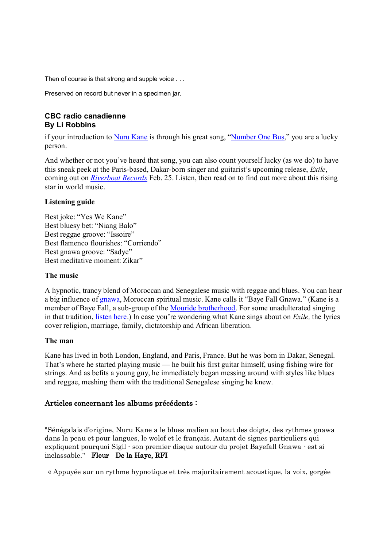Then of course is that strong and supple voice . . .

Preserved on record but never in a specimen jar.

# **CBC radio canadienne By Li Robbins**

if your introduction to Nuru Kane is through his great song, "Number One Bus," you are a lucky person.

And whether or not you've heard that song, you can also count yourself lucky (as we do) to have this sneak peek at the Paris-based, Dakar-born singer and guitarist's upcoming release, *Exile*, coming out on *Riverboat Records* Feb. 25. Listen, then read on to find out more about this rising star in world music.

# **Listening guide**

Best joke: "Yes We Kane" Best bluesy bet: "Niang Balo" Best reggae groove: "Issoire" Best flamenco flourishes: "Corriendo" Best gnawa groove: "Sadye" Best meditative moment: Zikar"

# **The music**

A hypnotic, trancy blend of Moroccan and Senegalese music with reggae and blues. You can hear a big influence of gnawa, Moroccan spiritual music. Kane calls it "Baye Fall Gnawa." (Kane is a member of Baye Fall, a sub-group of the Mouride brotherhood. For some unadulterated singing in that tradition, listen here.) In case you're wondering what Kane sings about on *Exile,* the lyrics cover religion, marriage, family, dictatorship and African liberation.

# **The man**

Kane has lived in both London, England, and Paris, France. But he was born in Dakar, Senegal. That's where he started playing music — he built his first guitar himself, using fishing wire for strings. And as befits a young guy, he immediately began messing around with styles like blues and reggae, meshing them with the traditional Senegalese singing he knew.

# Articles concernant les albums précédents :

"Sénégalais d'origine, Nuru Kane a le blues malien au bout des doigts, des rythmes gnawa dans la peau et pour langues, le wolof et le français. Autant de signes particuliers qui expliquent pourquoi Sigil - son premier disque autour du projet Bayefall Gnawa - est si inclassable." Fleur De la Haye, RFI

« Appuyée sur un rythme hypnotique et très majoritairement acoustique, la voix, gorgée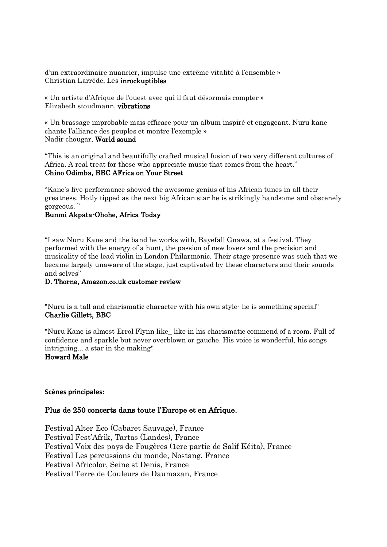d'un extraordinaire nuancier, impulse une extrême vitalité à l'ensemble » Christian Larrède, Les inrockuptibles

« Un artiste d'Afrique de l'ouest avec qui il faut désormais compter » Elizabeth stoudmann, vibrations

« Un brassage improbable mais efficace pour un album inspiré et engageant. Nuru kane chante l'alliance des peuples et montre l'exemple » Nadir chougar, World sound

"This is an original and beautifully crafted musical fusion of two very different cultures of Africa. A real treat for those who appreciate music that comes from the heart." Chino Odimba, BBC AFrica on Your Street

"Kane's live performance showed the awesome genius of his African tunes in all their greatness. Hotly tipped as the next big African star he is strikingly handsome and obscenely gorgeous. "

#### Bunmi Akpata-Ohohe, Africa Today

"I saw Nuru Kane and the band he works with, Bayefall Gnawa, at a festival. They performed with the energy of a hunt, the passion of new lovers and the precision and musicality of the lead violin in London Philarmonic. Their stage presence was such that we became largely unaware of the stage, just captivated by these characters and their sounds and selves"

#### D. Thorne, Amazon.co.uk customer review

"Nuru is a tall and charismatic character with his own style- he is something special" Charlie Gillett, BBC

"Nuru Kane is almost Errol Flynn like\_ like in his charismatic commend of a room. Full of confidence and sparkle but never overblown or gauche. His voice is wonderful, his songs intriguing... a star in the making"

# Howard Male

#### **Scènes principales:**

#### Plus de 250 concerts dans toute l'Europe et en Afrique.

Festival Alter Eco (Cabaret Sauvage), France Festival Fest'Afrik, Tartas (Landes), France Festival Voix des pays de Fougères (1ere partie de Salif Kéita), France Festival Les percussions du monde, Nostang, France Festival Africolor, Seine st Denis, France Festival Terre de Couleurs de Daumazan, France